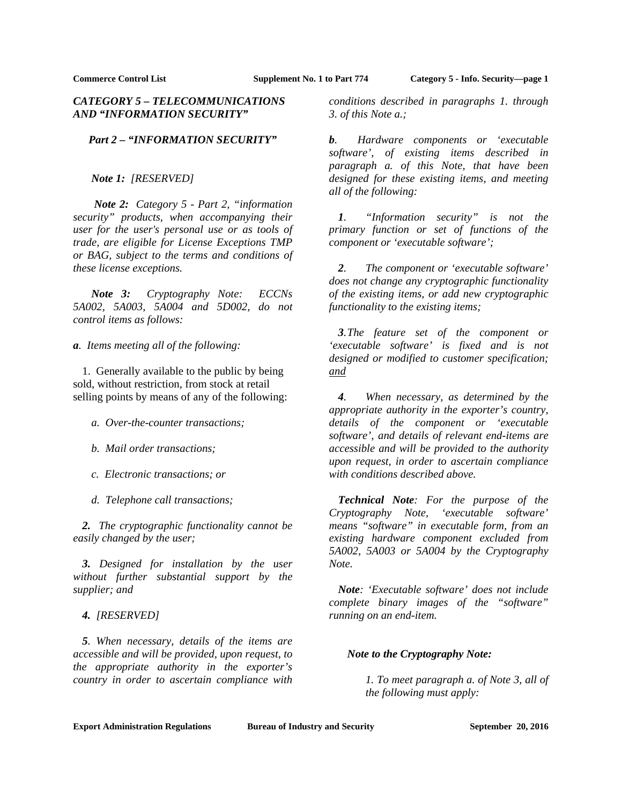# *CATEGORY 5 – TELECOMMUNICATIONS AND "INFORMATION SECURITY"*

# *Part 2 – "INFORMATION SECURITY"*

### *Note 1: [RESERVED]*

 *Note 2: Category 5 - Part 2, "information security" products, when accompanying their user for the user's personal use or as tools of trade, are eligible for License Exceptions TMP or BAG, subject to the terms and conditions of these license exceptions.* 

 *Note 3: Cryptography Note: ECCNs 5A002, 5A003, 5A004 and 5D002, do not control items as follows:* 

*a. Items meeting all of the following:* 

 1. Generally available to the public by being sold, without restriction, from stock at retail selling points by means of any of the following:

- *a. Over-the-counter transactions;*
- *b. Mail order transactions;*
- *c. Electronic transactions; or*
- *d. Telephone call transactions;*

 *2. The cryptographic functionality cannot be easily changed by the user;* 

*3. Designed for installation by the user without further substantial support by the supplier; and* 

### *4. [RESERVED]*

*5. When necessary, details of the items are accessible and will be provided, upon request, to the appropriate authority in the exporter's country in order to ascertain compliance with* 

*conditions described in paragraphs 1. through 3. of this Note a.;* 

*b. Hardware components or 'executable software', of existing items described in paragraph a. of this Note, that have been designed for these existing items, and meeting all of the following:*

*1. "Information security" is not the primary function or set of functions of the component or 'executable software';* 

*2. The component or 'executable software' does not change any cryptographic functionality of the existing items, or add new cryptographic functionality to the existing items;* 

*3. The feature set of the component or 'executable software' is fixed and is not designed or modified to customer specification; and* 

*4. When necessary, as determined by the appropriate authority in the exporter's country, details of the component or 'executable software', and details of relevant end-items are accessible and will be provided to the authority upon request, in order to ascertain compliance with conditions described above.* 

 *Technical Note: For the purpose of the Cryptography Note, 'executable software' means "software" in executable form, from an existing hardware component excluded from 5A002, 5A003 or 5A004 by the Cryptography Note.* 

*Note: 'Executable software' does not include complete binary images of the "software" running on an end-item.* 

### *Note to the Cryptography Note:*

*1. To meet paragraph a. of Note 3, all of the following must apply:*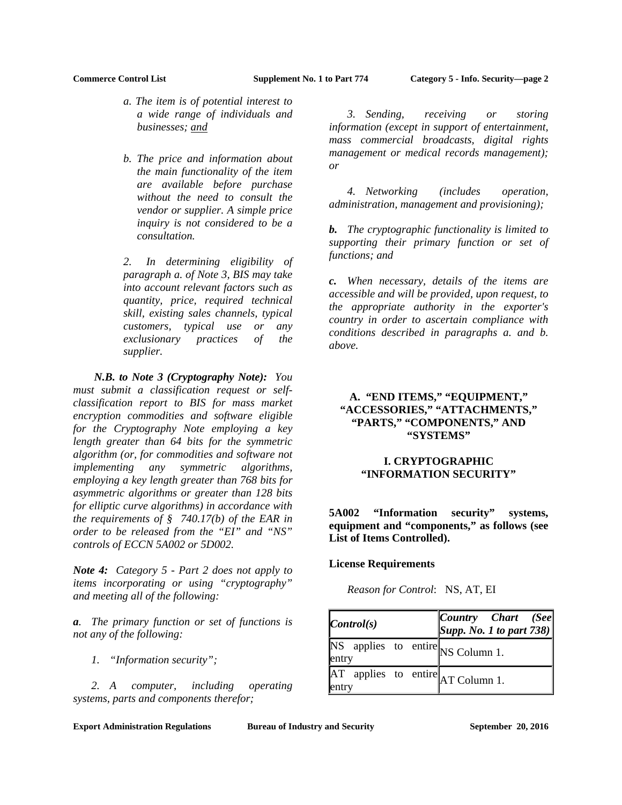- *a. The item is of potential interest to a wide range of individuals and businesses; and*
- *b. The price and information about the main functionality of the item are available before purchase without the need to consult the vendor or supplier. A simple price inquiry is not considered to be a consultation.*

*2. In determining eligibility of paragraph a. of Note 3, BIS may take into account relevant factors such as quantity, price, required technical skill, existing sales channels, typical customers, typical use or any exclusionary practices of the supplier.* 

 *N.B. to Note 3 (Cryptography Note): You must submit a classification request or selfclassification report to BIS for mass market encryption commodities and software eligible for the Cryptography Note employing a key length greater than 64 bits for the symmetric algorithm (or, for commodities and software not implementing any symmetric algorithms, employing a key length greater than 768 bits for asymmetric algorithms or greater than 128 bits for elliptic curve algorithms) in accordance with the requirements of § 740.17(b) of the EAR in order to be released from the "EI" and "NS" controls of ECCN 5A002 or 5D002.* 

*Note 4: Category 5 - Part 2 does not apply to items incorporating or using "cryptography" and meeting all of the following:* 

*a. The primary function or set of functions is not any of the following:* 

 *1. "Information security";* 

 *2. A computer, including operating systems, parts and components therefor;* 

 *3. Sending, receiving or storing information (except in support of entertainment, mass commercial broadcasts, digital rights management or medical records management); or* 

 *4. Networking (includes operation, administration, management and provisioning);* 

*b. The cryptographic functionality is limited to supporting their primary function or set of functions; and* 

*c. When necessary, details of the items are accessible and will be provided, upon request, to the appropriate authority in the exporter's country in order to ascertain compliance with conditions described in paragraphs a. and b. above.*

# **A. "END ITEMS," "EQUIPMENT," "ACCESSORIES," "ATTACHMENTS," "PARTS," "COMPONENTS," AND "SYSTEMS"**

# **I. CRYPTOGRAPHIC "INFORMATION SECURITY"**

**5A002 "Information security" systems, equipment and "components," as follows (see List of Items Controlled).**

### **License Requirements**

*Reason for Control*: NS, AT, EI

| $\mathcal{C}ontrol(s)$                                                             | [Country Chart (See]<br>$ Supp. No. I$ to part 738) |
|------------------------------------------------------------------------------------|-----------------------------------------------------|
| $\overline{\text{NS}}$ applies to entire $\overline{\text{NS}}$ Column 1.<br>entry |                                                     |
| $AT$ applies to entire $AT$ Column 1.<br>entry                                     |                                                     |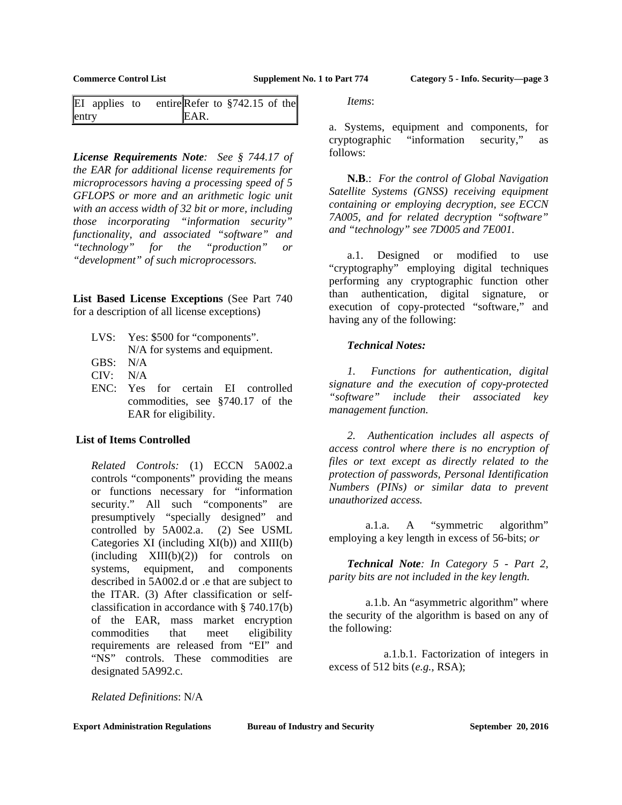| EI applies to |  |      | entire Refer to $$742.15$ of the |  |
|---------------|--|------|----------------------------------|--|
| entry         |  | EAR. |                                  |  |

*License Requirements Note: See § 744.17 of the EAR for additional license requirements for microprocessors having a processing speed of 5 GFLOPS or more and an arithmetic logic unit with an access width of 32 bit or more, including those incorporating "information security" functionality, and associated "software" and "technology" for the "production" or "development" of such microprocessors.* 

**List Based License Exceptions** (See Part 740 for a description of all license exceptions)

- LVS: Yes: \$500 for "components". N/A for systems and equipment.
- GBS: N/A
- CIV: N/A
- ENC: Yes for certain EI controlled commodities, see §740.17 of the EAR for eligibility.

### **List of Items Controlled**

*Related Controls:* (1) ECCN 5A002.a controls "components" providing the means or functions necessary for "information security." All such "components" are presumptively "specially designed" and controlled by 5A002.a. (2) See USML Categories XI (including XI(b)) and XIII(b)  $(including \quad XIII(b)(2))$  for controls on systems, equipment, and components described in 5A002.d or .e that are subject to the ITAR. (3) After classification or selfclassification in accordance with § 740.17(b) of the EAR, mass market encryption commodities that meet eligibility requirements are released from "EI" and "NS" controls. These commodities are designated 5A992.c.

*Items*:

a. Systems, equipment and components, for cryptographic "information security," as follows:

 **N.B**.: *For the control of Global Navigation Satellite Systems (GNSS) receiving equipment containing or employing decryption, see ECCN 7A005, and for related decryption "software" and "technology" see 7D005 and 7E001.*

 a.1. Designed or modified to use "cryptography" employing digital techniques performing any cryptographic function other than authentication, digital signature, or execution of copy-protected "software," and having any of the following:

## *Technical Notes:*

 *1. Functions for authentication, digital signature and the execution of copy-protected "software" include their associated key management function.* 

 *2. Authentication includes all aspects of access control where there is no encryption of files or text except as directly related to the protection of passwords, Personal Identification Numbers (PINs) or similar data to prevent unauthorized access.* 

 a.1.a. A "symmetric algorithm" employing a key length in excess of 56-bits; *or*

*Technical Note: In Category 5 - Part 2, parity bits are not included in the key length.* 

 a.1.b. An "asymmetric algorithm" where the security of the algorithm is based on any of the following:

 a.1.b.1. Factorization of integers in excess of 512 bits (*e.g.,* RSA);

*Related Definitions*: N/A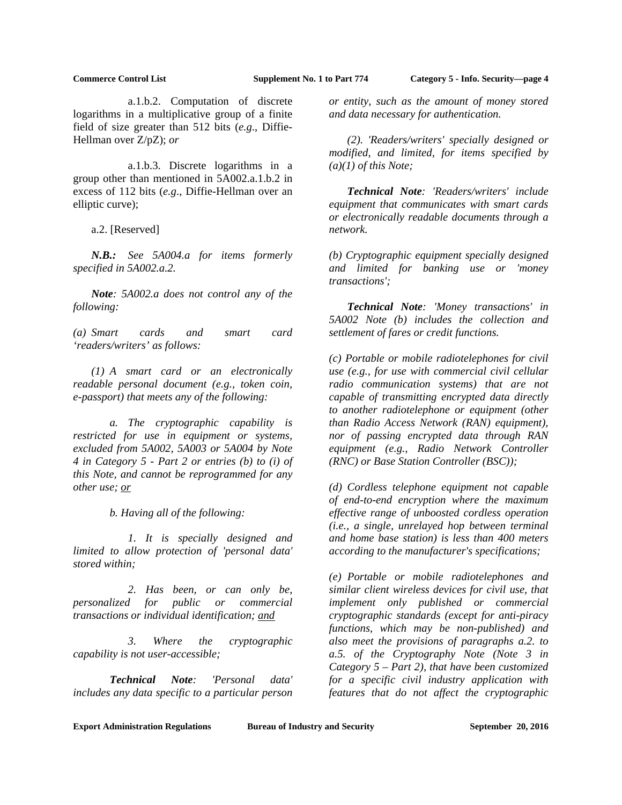a.1.b.2. Computation of discrete logarithms in a multiplicative group of a finite field of size greater than 512 bits (*e.g*., Diffie-Hellman over Z/pZ); *or*

 a.1.b.3. Discrete logarithms in a group other than mentioned in 5A002.a.1.b.2 in excess of 112 bits (*e.g*., Diffie-Hellman over an elliptic curve);

a.2. [Reserved]

*N.B.: See 5A004.a for items formerly specified in 5A002.a.2.* 

*Note: 5A002.a does not control any of the following:* 

*(a) Smart cards and smart card 'readers/writers' as follows:* 

 *(1) A smart card or an electronically readable personal document (e.g., token coin, e-passport) that meets any of the following:* 

 *a. The cryptographic capability is restricted for use in equipment or systems, excluded from 5A002, 5A003 or 5A004 by Note 4 in Category 5 - Part 2 or entries (b) to (i) of this Note, and cannot be reprogrammed for any other use; or* 

 *b. Having all of the following:* 

 *1. It is specially designed and limited to allow protection of 'personal data' stored within;* 

 *2. Has been, or can only be, personalized for public or commercial transactions or individual identification; and* 

 *3. Where the cryptographic capability is not user-accessible;* 

 *Technical Note: 'Personal data' includes any data specific to a particular person*  *or entity, such as the amount of money stored and data necessary for authentication.* 

 *(2). 'Readers/writers' specially designed or modified, and limited, for items specified by (a)(1) of this Note;* 

*Technical Note: 'Readers/writers' include equipment that communicates with smart cards or electronically readable documents through a network.* 

*(b) Cryptographic equipment specially designed and limited for banking use or 'money transactions';* 

*Technical Note: 'Money transactions' in 5A002 Note (b) includes the collection and settlement of fares or credit functions.* 

*(c) Portable or mobile radiotelephones for civil use (e.g., for use with commercial civil cellular radio communication systems) that are not capable of transmitting encrypted data directly to another radiotelephone or equipment (other than Radio Access Network (RAN) equipment), nor of passing encrypted data through RAN equipment (e.g., Radio Network Controller (RNC) or Base Station Controller (BSC));* 

*(d) Cordless telephone equipment not capable of end-to-end encryption where the maximum effective range of unboosted cordless operation (i.e., a single, unrelayed hop between terminal and home base station) is less than 400 meters according to the manufacturer's specifications;* 

*(e) Portable or mobile radiotelephones and similar client wireless devices for civil use, that implement only published or commercial cryptographic standards (except for anti-piracy functions, which may be non-published) and also meet the provisions of paragraphs a.2. to a.5. of the Cryptography Note (Note 3 in Category 5 – Part 2), that have been customized for a specific civil industry application with features that do not affect the cryptographic*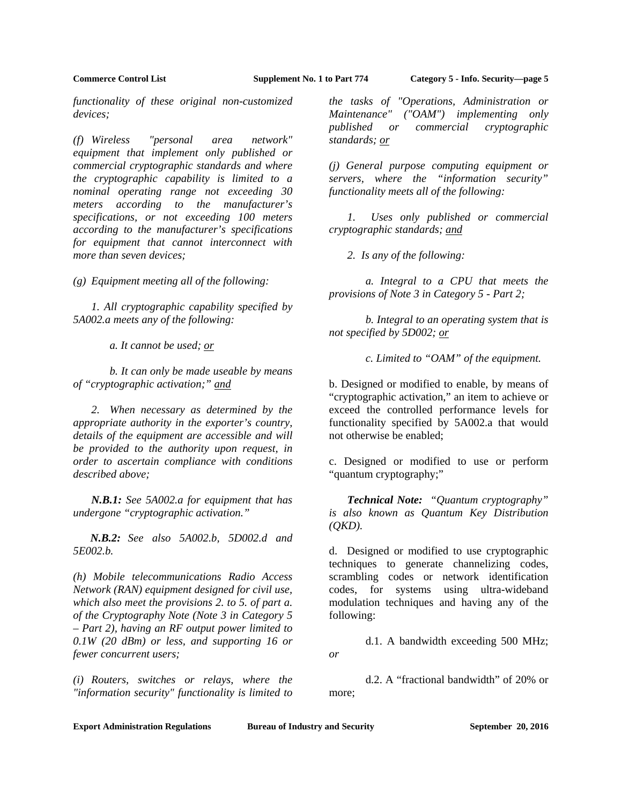*functionality of these original non-customized devices;* 

*(f) Wireless "personal area network" equipment that implement only published or commercial cryptographic standards and where the cryptographic capability is limited to a nominal operating range not exceeding 30 meters according to the manufacturer's specifications, or not exceeding 100 meters according to the manufacturer's specifications for equipment that cannot interconnect with more than seven devices;* 

*(g) Equipment meeting all of the following:* 

 *1. All cryptographic capability specified by 5A002.a meets any of the following:* 

 *a. It cannot be used; or* 

 *b. It can only be made useable by means of "cryptographic activation;" and* 

 *2. When necessary as determined by the appropriate authority in the exporter's country, details of the equipment are accessible and will be provided to the authority upon request, in order to ascertain compliance with conditions described above;* 

*N.B.1: See 5A002.a for equipment that has undergone "cryptographic activation."* 

*N.B.2: See also 5A002.b, 5D002.d and 5E002.b.* 

*(h) Mobile telecommunications Radio Access Network (RAN) equipment designed for civil use, which also meet the provisions 2. to 5. of part a. of the Cryptography Note (Note 3 in Category 5 – Part 2), having an RF output power limited to 0.1W (20 dBm) or less, and supporting 16 or fewer concurrent users;* 

*(i) Routers, switches or relays, where the "information security" functionality is limited to* 

*the tasks of "Operations, Administration or Maintenance" ("OAM") implementing only published or commercial cryptographic standards; or* 

*(j) General purpose computing equipment or servers, where the "information security" functionality meets all of the following:* 

 *1. Uses only published or commercial cryptographic standards; and* 

 *2. Is any of the following:* 

 *a. Integral to a CPU that meets the provisions of Note 3 in Category 5 - Part 2;* 

 *b. Integral to an operating system that is not specified by 5D002; or* 

 *c. Limited to "OAM" of the equipment.* 

b. Designed or modified to enable, by means of "cryptographic activation," an item to achieve or exceed the controlled performance levels for functionality specified by 5A002.a that would not otherwise be enabled;

c. Designed or modified to use or perform "quantum cryptography;"

*Technical Note: "Quantum cryptography" is also known as Quantum Key Distribution (QKD).* 

d. Designed or modified to use cryptographic techniques to generate channelizing codes, scrambling codes or network identification codes, for systems using ultra-wideband modulation techniques and having any of the following:

 d.1. A bandwidth exceeding 500 MHz; *or*

 d.2. A "fractional bandwidth" of 20% or more;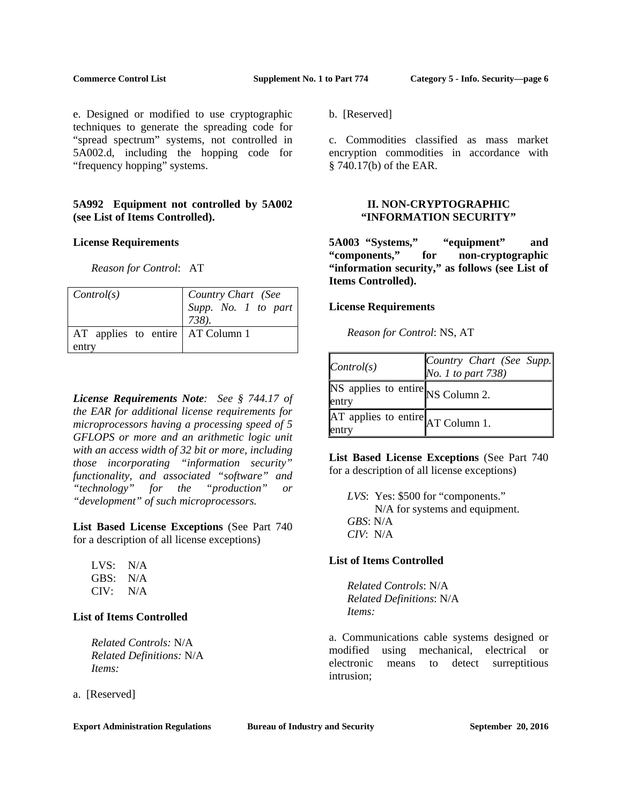e. Designed or modified to use cryptographic techniques to generate the spreading code for "spread spectrum" systems, not controlled in 5A002.d, including the hopping code for "frequency hopping" systems.

# **5A992 Equipment not controlled by 5A002 (see List of Items Controlled).**

## **License Requirements**

*Reason for Control*: AT

| Control(s)                                  | Country Chart (See<br>Supp. No. 1 to part<br>738). |
|---------------------------------------------|----------------------------------------------------|
| AT applies to entire   AT Column 1<br>entry |                                                    |

*License Requirements Note: See § 744.17 of the EAR for additional license requirements for microprocessors having a processing speed of 5 GFLOPS or more and an arithmetic logic unit with an access width of 32 bit or more, including those incorporating "information security" functionality, and associated "software" and "technology" for the "production" or "development" of such microprocessors.* 

**List Based License Exceptions** (See Part 740 for a description of all license exceptions)

| LVS: | N/A |
|------|-----|
| GBS: | N/A |
| CIV: | N/A |

# **List of Items Controlled**

*Related Controls:* N/A *Related Definitions:* N/A *Items:*

a. [Reserved]

**Export Administration Regulations Bureau of Industry and Security September 20, 2016** 

b. [Reserved]

c. Commodities classified as mass market encryption commodities in accordance with § 740.17(b) of the EAR.

## **II. NON-CRYPTOGRAPHIC "INFORMATION SECURITY"**

**5A003 "Systems," "equipment" and "components," for non-cryptographic "information security," as follows (see List of Items Controlled).** 

## **License Requirements**

 *Reason for Control*: NS, AT

| $\vert Control(s)$                                                                 | Country Chart (See Supp.<br>No. 1 to part 738) |
|------------------------------------------------------------------------------------|------------------------------------------------|
| $\overline{\text{NS}}$ applies to entire $\overline{\text{NS}}$ Column 2.<br>entry |                                                |
| $AT$ applies to entire $AT$ Column 1.<br>entry                                     |                                                |

**List Based License Exceptions** (See Part 740 for a description of all license exceptions)

*LVS*: Yes: \$500 for "components." N/A for systems and equipment. *GBS*: N/A *CIV*: N/A

# **List of Items Controlled**

*Related Controls*: N/A *Related Definitions*: N/A *Items:* 

a. Communications cable systems designed or modified using mechanical, electrical or electronic means to detect surreptitious intrusion;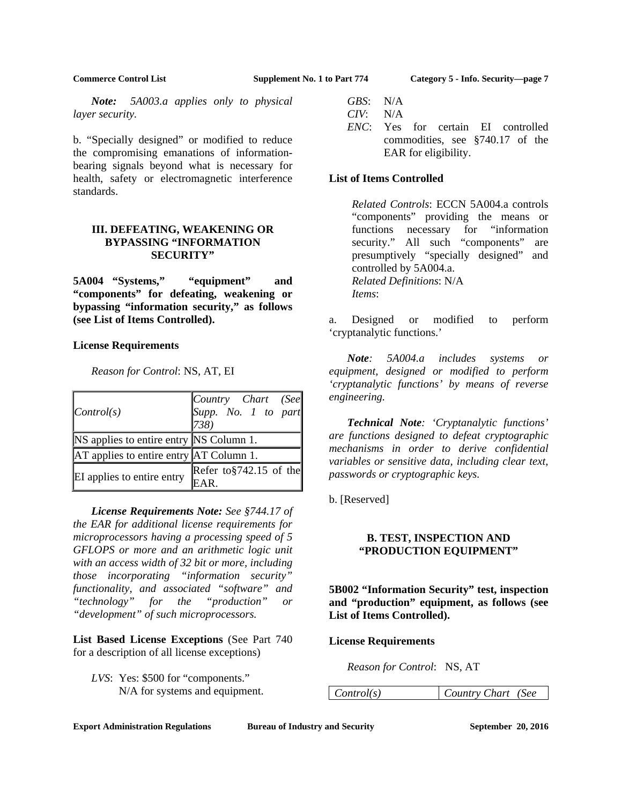*Note: 5A003.a applies only to physical layer security.* 

b. "Specially designed" or modified to reduce the compromising emanations of informationbearing signals beyond what is necessary for health, safety or electromagnetic interference standards.

# **III. DEFEATING, WEAKENING OR BYPASSING "INFORMATION SECURITY"**

**5A004 "Systems," "equipment" and "components" for defeating, weakening or bypassing "information security," as follows (see List of Items Controlled).** 

### **License Requirements**

| $\vert Control(s)$                      | Country Chart (See<br>Supp. No. 1 to part<br>$ 738\rangle$ |
|-----------------------------------------|------------------------------------------------------------|
| NS applies to entire entry NS Column 1. |                                                            |
| AT applies to entire entry AT Column 1. |                                                            |
| EI applies to entire entry              | Refer to $$742.15$ of the                                  |

*Reason for Control*: NS, AT, EI

 *License Requirements Note: See §744.17 of the EAR for additional license requirements for microprocessors having a processing speed of 5 GFLOPS or more and an arithmetic logic unit with an access width of 32 bit or more, including those incorporating "information security" functionality, and associated "software" and "technology" for the "production" or "development" of such microprocessors.* 

**List Based License Exceptions** (See Part 740 for a description of all license exceptions)

*LVS*: Yes: \$500 for "components." N/A for systems and equipment.

- *GBS*: N/A *CIV*: N/A
- *ENC*: Yes for certain EI controlled commodities, see §740.17 of the EAR for eligibility.

# **List of Items Controlled**

*Related Controls*: ECCN 5A004.a controls "components" providing the means or functions necessary for "information security." All such "components" are presumptively "specially designed" and controlled by 5A004.a. *Related Definitions*: N/A *Items*:

a. Designed or modified to perform 'cryptanalytic functions.'

*Note: 5A004.a includes systems or equipment, designed or modified to perform 'cryptanalytic functions' by means of reverse engineering.* 

*Technical Note: 'Cryptanalytic functions' are functions designed to defeat cryptographic mechanisms in order to derive confidential variables or sensitive data, including clear text, passwords or cryptographic keys.* 

b. [Reserved]

# **B. TEST, INSPECTION AND "PRODUCTION EQUIPMENT"**

**5B002 "Information Security" test, inspection and "production" equipment, as follows (see List of Items Controlled).**

# **License Requirements**

*Reason for Control*: NS, AT

*Control(s) Country Chart (See*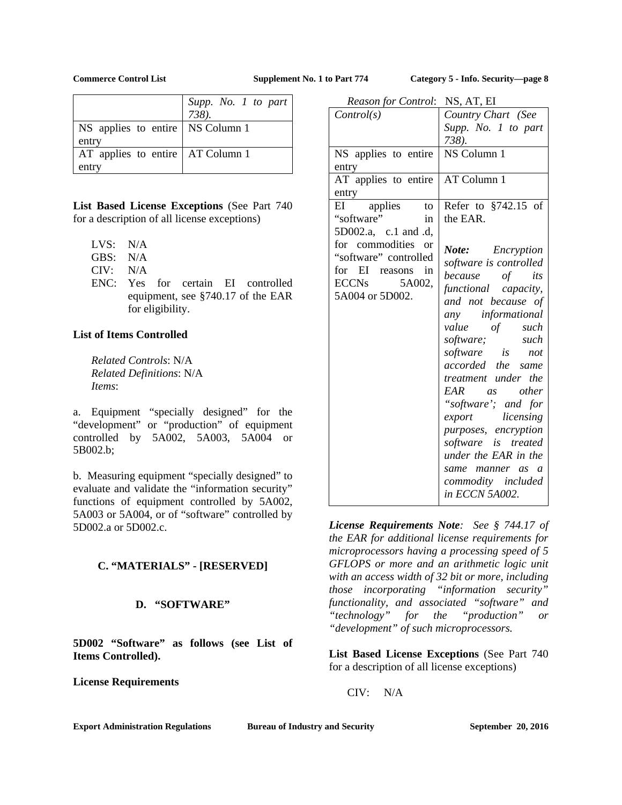|                                    | Supp. No. 1 to part |
|------------------------------------|---------------------|
|                                    | 738).               |
| NS applies to entire   NS Column 1 |                     |
| entry                              |                     |
| AT applies to entire   AT Column 1 |                     |
| entry                              |                     |

**List Based License Exceptions** (See Part 740 for a description of all license exceptions)

- LVS: N/A
- GBS: N/A
- CIV: N/A
- ENC: Yes for certain EI controlled equipment, see §740.17 of the EAR for eligibility.

# **List of Items Controlled**

*Related Controls*: N/A *Related Definitions*: N/A *Items*:

a. Equipment "specially designed" for the "development" or "production" of equipment controlled by 5A002, 5A003, 5A004 or 5B002.b;

b. Measuring equipment "specially designed" to evaluate and validate the "information security" functions of equipment controlled by 5A002, 5A003 or 5A004, or of "software" controlled by 5D002.a or 5D002.c.

# **C. "MATERIALS" - [RESERVED]**

# **D. "SOFTWARE"**

**5D002 "Software" as follows (see List of Items Controlled).**

**License Requirements**

| Reason for Control: NS, AT, EI |                                   |
|--------------------------------|-----------------------------------|
| Control(s)                     | Country Chart (See                |
|                                | Supp. No. 1 to part               |
|                                | 738).                             |
| NS applies to entire           | NS Column 1                       |
| entry                          |                                   |
| AT applies to entire           | AT Column 1                       |
| entry                          |                                   |
| applies<br>EI<br>to            | Refer to §742.15 of               |
| "software"<br>in               | the EAR.                          |
| 5D002.a, c.1 and .d,           |                                   |
| for commodities<br>$\alpha$    | <b>Note:</b> Encryption           |
| "software" controlled          | software is controlled            |
| EI reasons<br>in<br>for        | because of<br>its                 |
| ECCNs 5A002,                   | functional capacity,              |
| 5A004 or 5D002.                | and not because of                |
|                                | any informational                 |
|                                | value<br>of such                  |
|                                | software; such<br>software is not |
|                                |                                   |
|                                | accorded the same                 |
|                                | treatment under the               |
|                                | EAR as other                      |
|                                | "software'; and for               |
|                                | export licensing                  |
|                                | purposes, encryption              |
|                                | software is treated               |
|                                | under the EAR in the              |
|                                | same manner as a                  |
|                                | commodity included                |
|                                | in ECCN 5A002.                    |

*License Requirements Note: See § 744.17 of the EAR for additional license requirements for microprocessors having a processing speed of 5 GFLOPS or more and an arithmetic logic unit with an access width of 32 bit or more, including those incorporating "information security" functionality, and associated "software" and "technology" for the "production" or "development" of such microprocessors.* 

**List Based License Exceptions** (See Part 740 for a description of all license exceptions)

CIV: N/A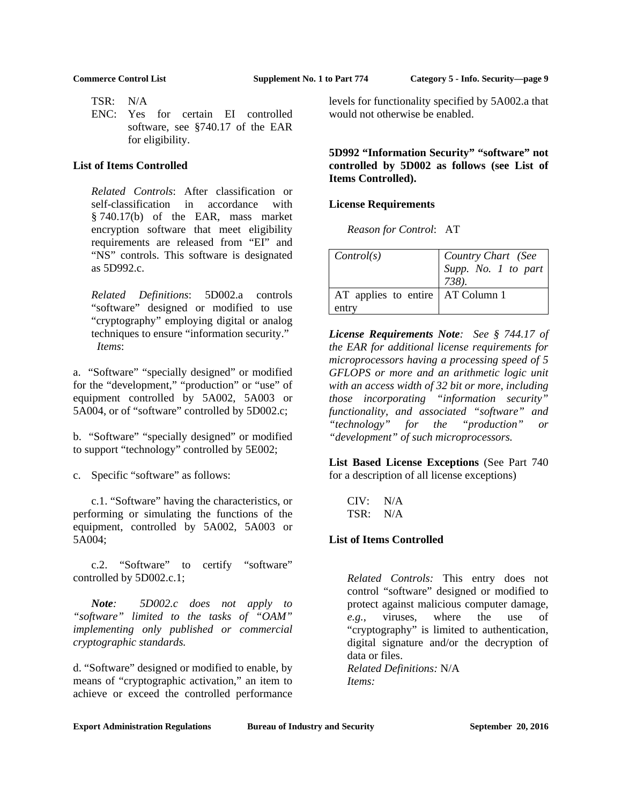TSR: N/A

 ENC: Yes for certain EI controlled software, see §740.17 of the EAR for eligibility.

### **List of Items Controlled**

*Related Controls*: After classification or self-classification in accordance with § 740.17(b) of the EAR, mass market encryption software that meet eligibility requirements are released from "EI" and "NS" controls. This software is designated as 5D992.c.

*Related Definitions*: 5D002.a controls "software" designed or modified to use "cryptography" employing digital or analog techniques to ensure "information security." *Items*:

a. "Software" "specially designed" or modified for the "development," "production" or "use" of equipment controlled by 5A002, 5A003 or 5A004, or of "software" controlled by 5D002.c;

b. "Software" "specially designed" or modified to support "technology" controlled by 5E002;

c. Specific "software" as follows:

 c.1. "Software" having the characteristics, or performing or simulating the functions of the equipment, controlled by 5A002, 5A003 or 5A004;

 c.2. "Software" to certify "software" controlled by 5D002.c.1;

 *Note: 5D002.c does not apply to "software" limited to the tasks of "OAM" implementing only published or commercial cryptographic standards.* 

d. "Software" designed or modified to enable, by means of "cryptographic activation," an item to achieve or exceed the controlled performance

levels for functionality specified by 5A002.a that would not otherwise be enabled.

**5D992 "Information Security" "software" not controlled by 5D002 as follows (see List of Items Controlled).**

## **License Requirements**

*Reason for Control*: AT

| Control(s)                                  | Country Chart (See<br>Supp. No. 1 to part<br>738). |
|---------------------------------------------|----------------------------------------------------|
| AT applies to entire   AT Column 1<br>entry |                                                    |

*License Requirements Note: See § 744.17 of the EAR for additional license requirements for microprocessors having a processing speed of 5 GFLOPS or more and an arithmetic logic unit with an access width of 32 bit or more, including those incorporating "information security" functionality, and associated "software" and "technology" for the "production" or "development" of such microprocessors.* 

**List Based License Exceptions** (See Part 740 for a description of all license exceptions)

 CIV: N/A TSR: N/A

## **List of Items Controlled**

*Related Controls:* This entry does not control "software" designed or modified to protect against malicious computer damage, *e.g.*, viruses, where the use of "cryptography" is limited to authentication, digital signature and/or the decryption of data or files.

*Related Definitions:* N/A *Items:*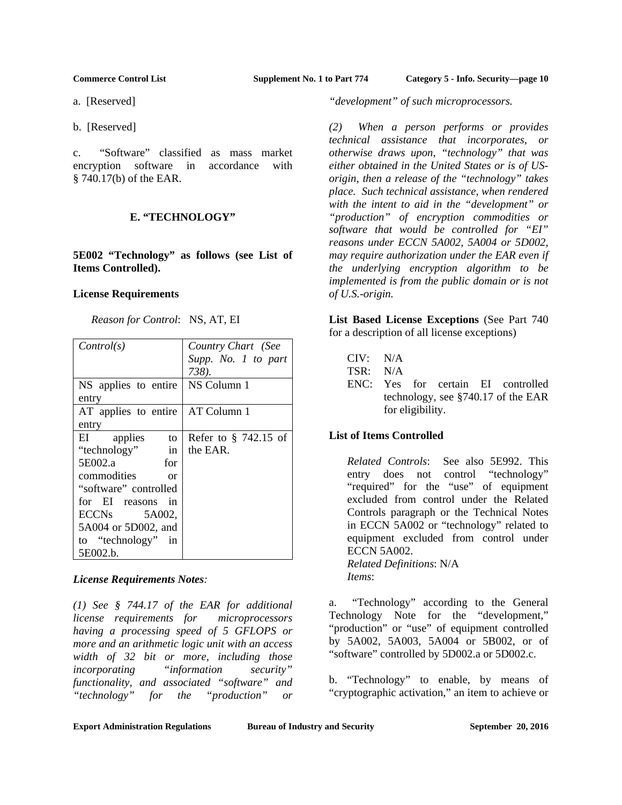a. [Reserved]

b. [Reserved]

c. "Software" classified as mass market encryption software in accordance with § 740.17(b) of the EAR.

# **E. "TECHNOLOGY"**

**5E002 "Technology" as follows (see List of Items Controlled).**

# **License Requirements**

| Control(s)                   | Country Chart (See      |
|------------------------------|-------------------------|
|                              | Supp. No. 1 to part     |
|                              | 738).                   |
| NS applies to entire         | NS Column 1             |
| entry                        |                         |
| AT applies to entire         | AT Column 1             |
| entry                        |                         |
| EI applies<br>to             | Refer to $\S$ 742.15 of |
| "technology"<br>in           | the EAR.                |
| 5E002.a<br>for               |                         |
| commodities<br><sub>or</sub> |                         |
| "software" controlled        |                         |
| for EI reasons in            |                         |
| $ECCNs$ 5A002,               |                         |
| 5A004 or 5D002, and          |                         |
| to "technology" in           |                         |
| 5E002.b.                     |                         |

# *License Requirements Notes:*

*(1) See § 744.17 of the EAR for additional license requirements for microprocessors having a processing speed of 5 GFLOPS or more and an arithmetic logic unit with an access width of 32 bit or more, including those incorporating "information security" functionality, and associated "software" and "technology" for the "production" or* 

*"development" of such microprocessors.* 

*(2) When a person performs or provides technical assistance that incorporates, or otherwise draws upon, "technology" that was either obtained in the United States or is of USorigin, then a release of the "technology" takes place. Such technical assistance, when rendered with the intent to aid in the "development" or "production" of encryption commodities or software that would be controlled for "EI" reasons under ECCN 5A002, 5A004 or 5D002, may require authorization under the EAR even if the underlying encryption algorithm to be implemented is from the public domain or is not of U.S.-origin.* 

**List Based License Exceptions** (See Part 740 for a description of all license exceptions)

| CIV: N/A |                  |  |                                       |
|----------|------------------|--|---------------------------------------|
| TSR: N/A |                  |  |                                       |
|          |                  |  | ENC: Yes for certain EI controlled    |
|          |                  |  | technology, see $\S740.17$ of the EAR |
|          | for eligibility. |  |                                       |

# **List of Items Controlled**

*Related Controls*: See also 5E992. This entry does not control "technology" "required" for the "use" of equipment excluded from control under the Related Controls paragraph or the Technical Notes in ECCN 5A002 or "technology" related to equipment excluded from control under ECCN 5A002. *Related Definitions*: N/A *Items*:

a. "Technology" according to the General Technology Note for the "development," "production" or "use" of equipment controlled by 5A002, 5A003, 5A004 or 5B002, or of "software" controlled by 5D002.a or 5D002.c.

b. "Technology" to enable, by means of "cryptographic activation," an item to achieve or